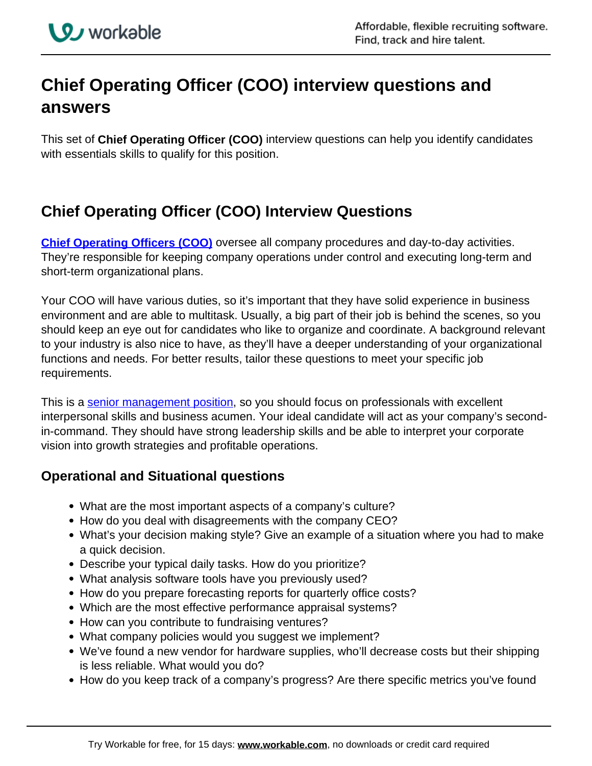## **Chief Operating Officer (COO) interview questions and answers**

This set of **Chief Operating Officer (COO)** interview questions can help you identify candidates with essentials skills to qualify for this position.

## **Chief Operating Officer (COO) Interview Questions**

**[Chief Operating Officers \(COO\)](https://resources.workable.com/coo-job-description)** oversee all company procedures and day-to-day activities. They're responsible for keeping company operations under control and executing long-term and short-term organizational plans.

Your COO will have various duties, so it's important that they have solid experience in business environment and are able to multitask. Usually, a big part of their job is behind the scenes, so you should keep an eye out for candidates who like to organize and coordinate. A background relevant to your industry is also nice to have, as they'll have a deeper understanding of your organizational functions and needs. For better results, tailor these questions to meet your specific job requirements.

This is a senior management position, so you should focus on professionals with excellent interpersonal skills and business acumen. Your ideal candidate will act as your company's secondin-command. They should have strong leadership skills and be able to interpret your corporate vision into growth strategies and profitable operations.

## **Operational and Situational questions**

- What are the most important aspects of a company's culture?
- How do you deal with disagreements with the company CEO?
- What's your decision making style? Give an example of a situation where you had to make a quick decision.
- Describe your typical daily tasks. How do you prioritize?
- What analysis software tools have you previously used?
- How do you prepare forecasting reports for quarterly office costs?
- Which are the most effective performance appraisal systems?
- How can you contribute to fundraising ventures?
- What company policies would you suggest we implement?
- We've found a new vendor for hardware supplies, who'll decrease costs but their shipping is less reliable. What would you do?
- How do you keep track of a company's progress? Are there specific metrics you've found